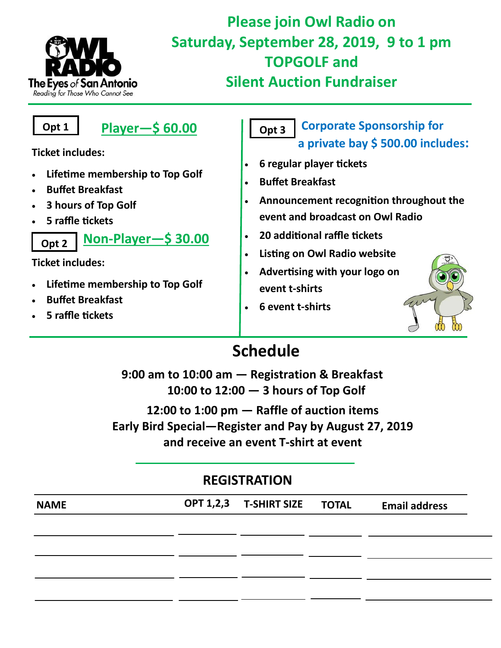

# **Please join Owl Radio on Saturday, September 28, 2019, 9 to 1 pm TOPGOLF and Silent Auction Fundraiser**

 **Player—\$ 60.00 Ticket includes:** • **Lifetime membership to Top Golf** • **Buffet Breakfast** • **3 hours of Top Golf** • **5 raffle tickets Non-Player—\$ 30.00 Ticket includes:** • **Lifetime membership to Top Golf a private bay \$ 500.00 includes:** • **6 regular player tickets** • **Buffet Breakfast** • **20 additional raffle tickets** • **Listing on Owl Radio website** • **Advertising with your logo on Opt 1 Opt 2**

- **Buffet Breakfast**
- **5 raffle tickets**

#### **Corporate Sponsorship for Opt 3**

- **Announcement recognition throughout the event and broadcast on Owl Radio**
- **event t-shirts**
- **6 event t-shirts**



# **Schedule**

**9:00 am to 10:00 am — Registration & Breakfast 10:00 to 12:00 — 3 hours of Top Golf 12:00 to 1:00 pm — Raffle of auction items Early Bird Special—Register and Pay by August 27, 2019 and receive an event T-shirt at event**

## **REGISTRATION**

| <b>NAME</b> | OPT 1,2,3 T-SHIRT SIZE TOTAL | <b>Email address</b> |
|-------------|------------------------------|----------------------|
|             |                              |                      |
|             |                              |                      |
|             |                              |                      |
|             |                              |                      |